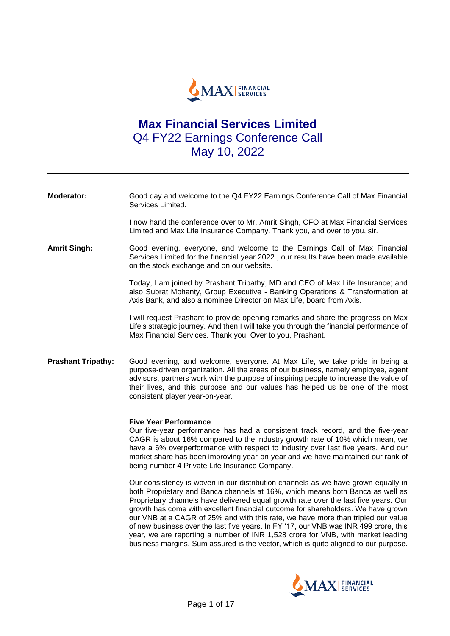

# **Max Financial Services Limited**  Q4 FY22 Earnings Conference Call May 10, 2022

| <b>Moderator:</b>         | Good day and welcome to the Q4 FY22 Earnings Conference Call of Max Financial<br>Services Limited.                                                                                                                                                                                                                                                                            |
|---------------------------|-------------------------------------------------------------------------------------------------------------------------------------------------------------------------------------------------------------------------------------------------------------------------------------------------------------------------------------------------------------------------------|
|                           | I now hand the conference over to Mr. Amrit Singh, CFO at Max Financial Services<br>Limited and Max Life Insurance Company. Thank you, and over to you, sir.                                                                                                                                                                                                                  |
| <b>Amrit Singh:</b>       | Good evening, everyone, and welcome to the Earnings Call of Max Financial<br>Services Limited for the financial year 2022., our results have been made available<br>on the stock exchange and on our website.                                                                                                                                                                 |
|                           | Today, I am joined by Prashant Tripathy, MD and CEO of Max Life Insurance; and<br>also Subrat Mohanty, Group Executive - Banking Operations & Transformation at<br>Axis Bank, and also a nominee Director on Max Life, board from Axis.                                                                                                                                       |
|                           | I will request Prashant to provide opening remarks and share the progress on Max<br>Life's strategic journey. And then I will take you through the financial performance of<br>Max Financial Services. Thank you. Over to you, Prashant.                                                                                                                                      |
| <b>Prashant Tripathy:</b> | Good evening, and welcome, everyone. At Max Life, we take pride in being a<br>purpose-driven organization. All the areas of our business, namely employee, agent<br>advisors, partners work with the purpose of inspiring people to increase the value of<br>their lives, and this purpose and our values has helped us be one of the most<br>consistent player year-on-year. |
|                           | <b>Five Year Performance</b><br>Our five-year performance has had a consistent track record, and the five-year                                                                                                                                                                                                                                                                |

CAGR is about 16% compared to the industry growth rate of 10% which mean, we have a 6% overperformance with respect to industry over last five years. And our market share has been improving year-on-year and we have maintained our rank of being number 4 Private Life Insurance Company.

Our consistency is woven in our distribution channels as we have grown equally in both Proprietary and Banca channels at 16%, which means both Banca as well as Proprietary channels have delivered equal growth rate over the last five years. Our growth has come with excellent financial outcome for shareholders. We have grown our VNB at a CAGR of 25% and with this rate, we have more than tripled our value of new business over the last five years. In FY '17, our VNB was INR 499 crore, this year, we are reporting a number of INR 1,528 crore for VNB, with market leading business margins. Sum assured is the vector, which is quite aligned to our purpose.

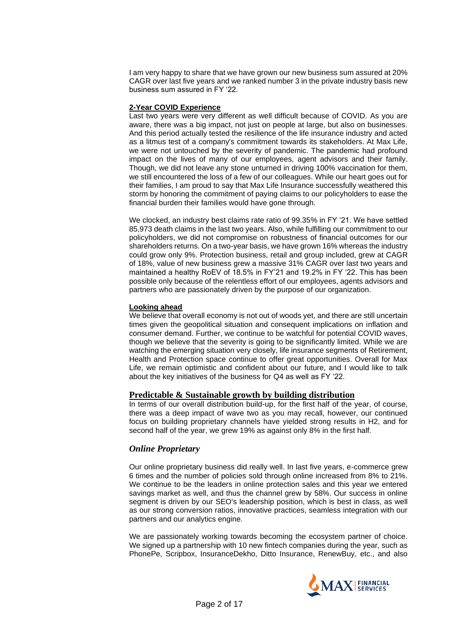I am very happy to share that we have grown our new business sum assured at 20% CAGR over last five years and we ranked number 3 in the private industry basis new business sum assured in FY '22.

#### **2-Year COVID Experience**

Last two years were very different as well difficult because of COVID. As you are aware, there was a big impact, not just on people at large, but also on businesses. And this period actually tested the resilience of the life insurance industry and acted as a litmus test of a company's commitment towards its stakeholders. At Max Life, we were not untouched by the severity of pandemic. The pandemic had profound impact on the lives of many of our employees, agent advisors and their family. Though, we did not leave any stone unturned in driving 100% vaccination for them, we still encountered the loss of a few of our colleagues. While our heart goes out for their families, I am proud to say that Max Life Insurance successfully weathered this storm by honoring the commitment of paying claims to our policyholders to ease the financial burden their families would have gone through.

We clocked, an industry best claims rate ratio of 99.35% in FY '21. We have settled 85,973 death claims in the last two years. Also, while fulfilling our commitment to our policyholders, we did not compromise on robustness of financial outcomes for our shareholders returns. On a two-year basis, we have grown 16% whereas the industry could grow only 9%. Protection business, retail and group included, grew at CAGR of 18%, value of new business grew a massive 31% CAGR over last two years and maintained a healthy RoEV of 18.5% in FY'21 and 19.2% in FY '22. This has been possible only because of the relentless effort of our employees, agents advisors and partners who are passionately driven by the purpose of our organization.

## **Looking ahead**

We believe that overall economy is not out of woods yet, and there are still uncertain times given the geopolitical situation and consequent implications on inflation and consumer demand. Further, we continue to be watchful for potential COVID waves, though we believe that the severity is going to be significantly limited. While we are watching the emerging situation very closely, life insurance segments of Retirement, Health and Protection space continue to offer great opportunities. Overall for Max Life, we remain optimistic and confident about our future, and I would like to talk about the key initiatives of the business for Q4 as well as FY '22.

## **Predictable & Sustainable growth by building distribution**

In terms of our overall distribution build-up, for the first half of the year, of course, there was a deep impact of wave two as you may recall, however, our continued focus on building proprietary channels have yielded strong results in H2, and for second half of the year, we grew 19% as against only 8% in the first half.

# *Online Proprietary*

Our online proprietary business did really well. In last five years, e-commerce grew 6 times and the number of policies sold through online increased from 8% to 21%. We continue to be the leaders in online protection sales and this year we entered savings market as well, and thus the channel grew by 58%. Our success in online segment is driven by our SEO's leadership position, which is best in class, as well as our strong conversion ratios, innovative practices, seamless integration with our partners and our analytics engine.

We are passionately working towards becoming the ecosystem partner of choice. We signed up a partnership with 10 new fintech companies during the year, such as PhonePe, Scripbox, InsuranceDekho, Ditto Insurance, RenewBuy, etc., and also

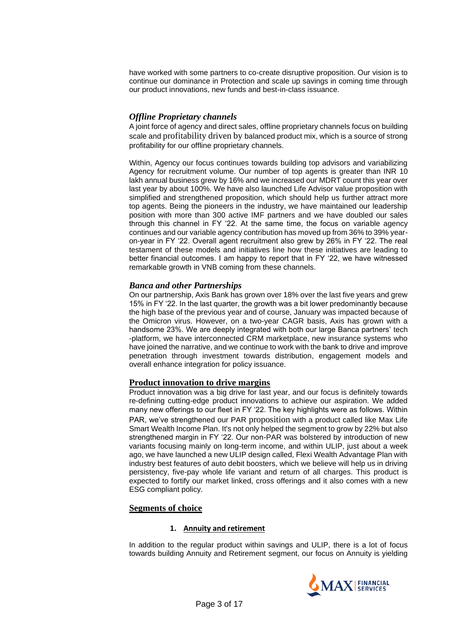have worked with some partners to co-create disruptive proposition. Our vision is to continue our dominance in Protection and scale up savings in coming time through our product innovations, new funds and best-in-class issuance.

## *Offline Proprietary channels*

A joint force of agency and direct sales, offline proprietary channels focus on building scale and profitability driven by balanced product mix, which is a source of strong profitability for our offline proprietary channels.

Within, Agency our focus continues towards building top advisors and variabilizing Agency for recruitment volume. Our number of top agents is greater than INR 10 lakh annual business grew by 16% and we increased our MDRT count this year over last year by about 100%. We have also launched Life Advisor value proposition with simplified and strengthened proposition, which should help us further attract more top agents. Being the pioneers in the industry, we have maintained our leadership position with more than 300 active IMF partners and we have doubled our sales through this channel in FY '22. At the same time, the focus on variable agency continues and our variable agency contribution has moved up from 36% to 39% yearon-year in FY '22. Overall agent recruitment also grew by 26% in FY '22. The real testament of these models and initiatives line how these initiatives are leading to better financial outcomes. I am happy to report that in FY '22, we have witnessed remarkable growth in VNB coming from these channels.

## *Banca and other Partnerships*

On our partnership, Axis Bank has grown over 18% over the last five years and grew 15% in FY '22. In the last quarter, the growth was a bit lower predominantly because the high base of the previous year and of course, January was impacted because of the Omicron virus. However, on a two-year CAGR basis, Axis has grown with a handsome 23%. We are deeply integrated with both our large Banca partners' tech -platform, we have interconnected CRM marketplace, new insurance systems who have joined the narrative, and we continue to work with the bank to drive and improve penetration through investment towards distribution, engagement models and overall enhance integration for policy issuance.

## **Product innovation to drive margins**

Product innovation was a big drive for last year, and our focus is definitely towards re-defining cutting-edge product innovations to achieve our aspiration. We added many new offerings to our fleet in FY '22. The key highlights were as follows. Within PAR, we've strengthened our PAR proposition with a product called like Max Life Smart Wealth Income Plan. It's not only helped the segment to grow by 22% but also strengthened margin in FY '22. Our non-PAR was bolstered by introduction of new variants focusing mainly on long-term income, and within ULIP, just about a week ago, we have launched a new ULIP design called, Flexi Wealth Advantage Plan with industry best features of auto debit boosters, which we believe will help us in driving persistency, five-pay whole life variant and return of all charges. This product is expected to fortify our market linked, cross offerings and it also comes with a new ESG compliant policy.

## **Segments of choice**

## **1. Annuity and retirement**

In addition to the regular product within savings and ULIP, there is a lot of focus towards building Annuity and Retirement segment, our focus on Annuity is yielding

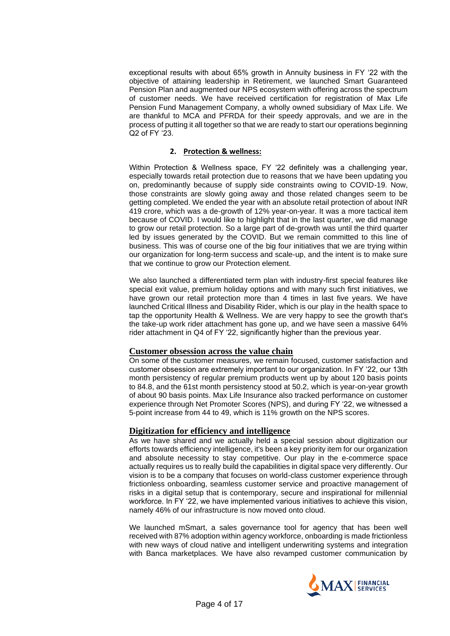exceptional results with about 65% growth in Annuity business in FY '22 with the objective of attaining leadership in Retirement, we launched Smart Guaranteed Pension Plan and augmented our NPS ecosystem with offering across the spectrum of customer needs. We have received certification for registration of Max Life Pension Fund Management Company, a wholly owned subsidiary of Max Life. We are thankful to MCA and PFRDA for their speedy approvals, and we are in the process of putting it all together so that we are ready to start our operations beginning Q2 of FY '23.

## **2. Protection & wellness:**

Within Protection & Wellness space, FY '22 definitely was a challenging year, especially towards retail protection due to reasons that we have been updating you on, predominantly because of supply side constraints owing to COVID-19. Now, those constraints are slowly going away and those related changes seem to be getting completed. We ended the year with an absolute retail protection of about INR 419 crore, which was a de-growth of 12% year-on-year. It was a more tactical item because of COVID. I would like to highlight that in the last quarter, we did manage to grow our retail protection. So a large part of de-growth was until the third quarter led by issues generated by the COVID. But we remain committed to this line of business. This was of course one of the big four initiatives that we are trying within our organization for long-term success and scale-up, and the intent is to make sure that we continue to grow our Protection element.

We also launched a differentiated term plan with industry-first special features like special exit value, premium holiday options and with many such first initiatives, we have grown our retail protection more than 4 times in last five years. We have launched Critical Illness and Disability Rider, which is our play in the health space to tap the opportunity Health & Wellness. We are very happy to see the growth that's the take-up work rider attachment has gone up, and we have seen a massive 64% rider attachment in Q4 of FY '22, significantly higher than the previous year.

## **Customer obsession across the value chain**

On some of the customer measures, we remain focused, customer satisfaction and customer obsession are extremely important to our organization. In FY '22, our 13th month persistency of regular premium products went up by about 120 basis points to 84.8, and the 61st month persistency stood at 50.2, which is year-on-year growth of about 90 basis points. Max Life Insurance also tracked performance on customer experience through Net Promoter Scores (NPS), and during FY '22, we witnessed a 5-point increase from 44 to 49, which is 11% growth on the NPS scores.

## **Digitization for efficiency and intelligence**

As we have shared and we actually held a special session about digitization our efforts towards efficiency intelligence, it's been a key priority item for our organization and absolute necessity to stay competitive. Our play in the e-commerce space actually requires us to really build the capabilities in digital space very differently. Our vision is to be a company that focuses on world-class customer experience through frictionless onboarding, seamless customer service and proactive management of risks in a digital setup that is contemporary, secure and inspirational for millennial workforce. In FY '22, we have implemented various initiatives to achieve this vision, namely 46% of our infrastructure is now moved onto cloud.

We launched mSmart, a sales governance tool for agency that has been well received with 87% adoption within agency workforce, onboarding is made frictionless with new ways of cloud native and intelligent underwriting systems and integration with Banca marketplaces. We have also revamped customer communication by

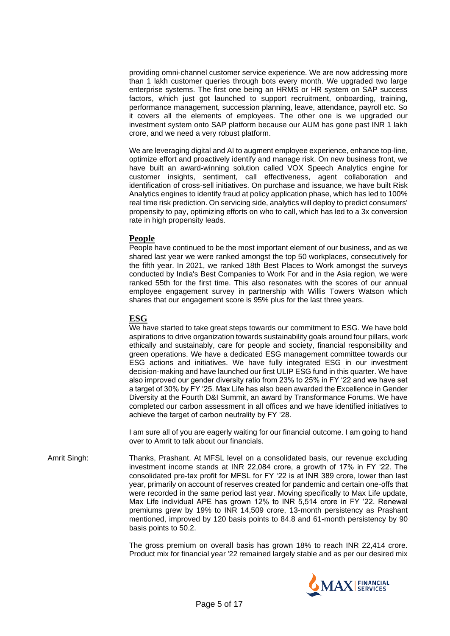providing omni-channel customer service experience. We are now addressing more than 1 lakh customer queries through bots every month. We upgraded two large enterprise systems. The first one being an HRMS or HR system on SAP success factors, which just got launched to support recruitment, onboarding, training, performance management, succession planning, leave, attendance, payroll etc. So it covers all the elements of employees. The other one is we upgraded our investment system onto SAP platform because our AUM has gone past INR 1 lakh crore, and we need a very robust platform.

We are leveraging digital and AI to augment employee experience, enhance top-line, optimize effort and proactively identify and manage risk. On new business front, we have built an award-winning solution called VOX Speech Analytics engine for customer insights, sentiment, call effectiveness, agent collaboration and identification of cross-sell initiatives. On purchase and issuance, we have built Risk Analytics engines to identify fraud at policy application phase, which has led to 100% real time risk prediction. On servicing side, analytics will deploy to predict consumers' propensity to pay, optimizing efforts on who to call, which has led to a 3x conversion rate in high propensity leads.

## **People**

People have continued to be the most important element of our business, and as we shared last year we were ranked amongst the top 50 workplaces, consecutively for the fifth year. In 2021, we ranked 18th Best Places to Work amongst the surveys conducted by India's Best Companies to Work For and in the Asia region, we were ranked 55th for the first time. This also resonates with the scores of our annual employee engagement survey in partnership with Willis Towers Watson which shares that our engagement score is 95% plus for the last three years.

## **ESG**

We have started to take great steps towards our commitment to ESG. We have bold aspirations to drive organization towards sustainability goals around four pillars, work ethically and sustainably, care for people and society, financial responsibility and green operations. We have a dedicated ESG management committee towards our ESG actions and initiatives. We have fully integrated ESG in our investment decision-making and have launched our first ULIP ESG fund in this quarter. We have also improved our gender diversity ratio from 23% to 25% in FY '22 and we have set a target of 30% by FY '25. Max Life has also been awarded the Excellence in Gender Diversity at the Fourth D&I Summit, an award by Transformance Forums. We have completed our carbon assessment in all offices and we have identified initiatives to achieve the target of carbon neutrality by FY '28.

I am sure all of you are eagerly waiting for our financial outcome. I am going to hand over to Amrit to talk about our financials.

Amrit Singh: Thanks, Prashant. At MFSL level on a consolidated basis, our revenue excluding investment income stands at INR 22,084 crore, a growth of 17% in FY '22. The consolidated pre-tax profit for MFSL for FY '22 is at INR 389 crore, lower than last year, primarily on account of reserves created for pandemic and certain one-offs that were recorded in the same period last year. Moving specifically to Max Life update, Max Life individual APE has grown 12% to INR 5,514 crore in FY '22. Renewal premiums grew by 19% to INR 14,509 crore, 13-month persistency as Prashant mentioned, improved by 120 basis points to 84.8 and 61-month persistency by 90 basis points to 50.2.

> The gross premium on overall basis has grown 18% to reach INR 22,414 crore. Product mix for financial year '22 remained largely stable and as per our desired mix

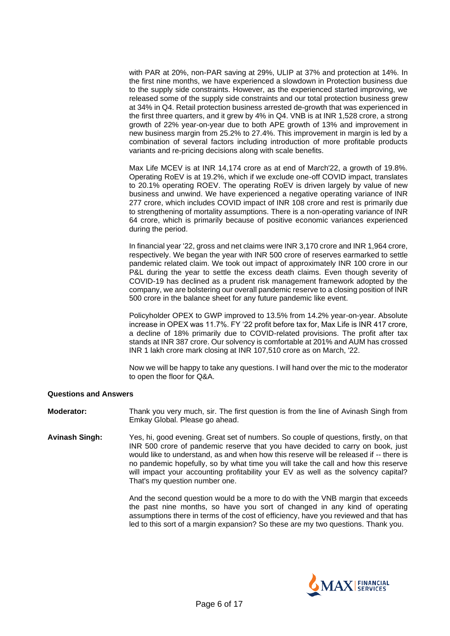with PAR at 20%, non-PAR saving at 29%, ULIP at 37% and protection at 14%. In the first nine months, we have experienced a slowdown in Protection business due to the supply side constraints. However, as the experienced started improving, we released some of the supply side constraints and our total protection business grew at 34% in Q4. Retail protection business arrested de-growth that was experienced in the first three quarters, and it grew by 4% in Q4. VNB is at INR 1,528 crore, a strong growth of 22% year-on-year due to both APE growth of 13% and improvement in new business margin from 25.2% to 27.4%. This improvement in margin is led by a combination of several factors including introduction of more profitable products variants and re-pricing decisions along with scale benefits.

Max Life MCEV is at INR 14,174 crore as at end of March'22, a growth of 19.8%. Operating RoEV is at 19.2%, which if we exclude one-off COVID impact, translates to 20.1% operating ROEV. The operating RoEV is driven largely by value of new business and unwind. We have experienced a negative operating variance of INR 277 crore, which includes COVID impact of INR 108 crore and rest is primarily due to strengthening of mortality assumptions. There is a non-operating variance of INR 64 crore, which is primarily because of positive economic variances experienced during the period.

In financial year '22, gross and net claims were INR 3,170 crore and INR 1,964 crore, respectively. We began the year with INR 500 crore of reserves earmarked to settle pandemic related claim. We took out impact of approximately INR 100 crore in our P&L during the year to settle the excess death claims. Even though severity of COVID-19 has declined as a prudent risk management framework adopted by the company, we are bolstering our overall pandemic reserve to a closing position of INR 500 crore in the balance sheet for any future pandemic like event.

Policyholder OPEX to GWP improved to 13.5% from 14.2% year-on-year. Absolute increase in OPEX was 11.7%. FY '22 profit before tax for, Max Life is INR 417 crore, a decline of 18% primarily due to COVID-related provisions. The profit after tax stands at INR 387 crore. Our solvency is comfortable at 201% and AUM has crossed INR 1 lakh crore mark closing at INR 107,510 crore as on March, '22.

Now we will be happy to take any questions. I will hand over the mic to the moderator to open the floor for Q&A.

#### **Questions and Answers**

**Moderator:** Thank you very much, sir. The first question is from the line of Avinash Singh from Emkay Global. Please go ahead.

**Avinash Singh:** Yes, hi, good evening. Great set of numbers. So couple of questions, firstly, on that INR 500 crore of pandemic reserve that you have decided to carry on book, just would like to understand, as and when how this reserve will be released if -- there is no pandemic hopefully, so by what time you will take the call and how this reserve will impact your accounting profitability your EV as well as the solvency capital? That's my question number one.

> And the second question would be a more to do with the VNB margin that exceeds the past nine months, so have you sort of changed in any kind of operating assumptions there in terms of the cost of efficiency, have you reviewed and that has led to this sort of a margin expansion? So these are my two questions. Thank you.

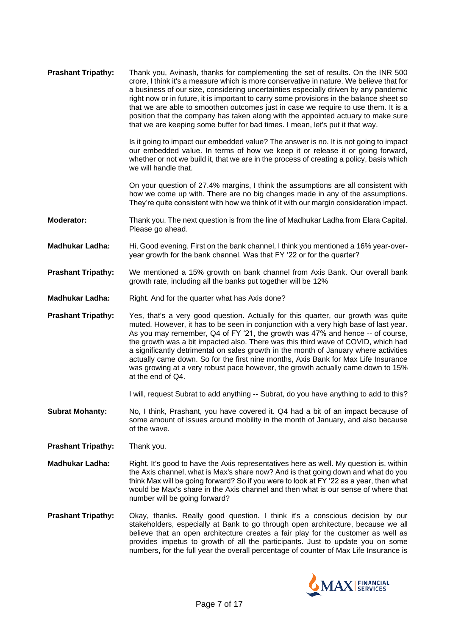| <b>Prashant Tripathy:</b> | Thank you, Avinash, thanks for complementing the set of results. On the INR 500<br>crore, I think it's a measure which is more conservative in nature. We believe that for<br>a business of our size, considering uncertainties especially driven by any pandemic<br>right now or in future, it is important to carry some provisions in the balance sheet so<br>that we are able to smoothen outcomes just in case we require to use them. It is a<br>position that the company has taken along with the appointed actuary to make sure<br>that we are keeping some buffer for bad times. I mean, let's put it that way.             |
|---------------------------|---------------------------------------------------------------------------------------------------------------------------------------------------------------------------------------------------------------------------------------------------------------------------------------------------------------------------------------------------------------------------------------------------------------------------------------------------------------------------------------------------------------------------------------------------------------------------------------------------------------------------------------|
|                           | Is it going to impact our embedded value? The answer is no. It is not going to impact<br>our embedded value. In terms of how we keep it or release it or going forward,<br>whether or not we build it, that we are in the process of creating a policy, basis which<br>we will handle that.                                                                                                                                                                                                                                                                                                                                           |
|                           | On your question of 27.4% margins, I think the assumptions are all consistent with<br>how we come up with. There are no big changes made in any of the assumptions.<br>They're quite consistent with how we think of it with our margin consideration impact.                                                                                                                                                                                                                                                                                                                                                                         |
| Moderator:                | Thank you. The next question is from the line of Madhukar Ladha from Elara Capital.<br>Please go ahead.                                                                                                                                                                                                                                                                                                                                                                                                                                                                                                                               |
| <b>Madhukar Ladha:</b>    | Hi, Good evening. First on the bank channel, I think you mentioned a 16% year-over-<br>year growth for the bank channel. Was that FY '22 or for the quarter?                                                                                                                                                                                                                                                                                                                                                                                                                                                                          |
| <b>Prashant Tripathy:</b> | We mentioned a 15% growth on bank channel from Axis Bank. Our overall bank<br>growth rate, including all the banks put together will be 12%                                                                                                                                                                                                                                                                                                                                                                                                                                                                                           |
| <b>Madhukar Ladha:</b>    | Right. And for the quarter what has Axis done?                                                                                                                                                                                                                                                                                                                                                                                                                                                                                                                                                                                        |
| <b>Prashant Tripathy:</b> | Yes, that's a very good question. Actually for this quarter, our growth was quite<br>muted. However, it has to be seen in conjunction with a very high base of last year.<br>As you may remember, Q4 of FY '21, the growth was 47% and hence -- of course,<br>the growth was a bit impacted also. There was this third wave of COVID, which had<br>a significantly detrimental on sales growth in the month of January where activities<br>actually came down. So for the first nine months, Axis Bank for Max Life Insurance<br>was growing at a very robust pace however, the growth actually came down to 15%<br>at the end of Q4. |
|                           | I will, request Subrat to add anything -- Subrat, do you have anything to add to this?                                                                                                                                                                                                                                                                                                                                                                                                                                                                                                                                                |
| <b>Subrat Mohanty:</b>    | No, I think, Prashant, you have covered it. Q4 had a bit of an impact because of<br>some amount of issues around mobility in the month of January, and also because<br>of the wave.                                                                                                                                                                                                                                                                                                                                                                                                                                                   |
| <b>Prashant Tripathy:</b> | Thank you.                                                                                                                                                                                                                                                                                                                                                                                                                                                                                                                                                                                                                            |
| <b>Madhukar Ladha:</b>    | Right. It's good to have the Axis representatives here as well. My question is, within<br>the Axis channel, what is Max's share now? And is that going down and what do you<br>think Max will be going forward? So if you were to look at FY '22 as a year, then what                                                                                                                                                                                                                                                                                                                                                                 |

**Prashant Tripathy:** Okay, thanks. Really good question. I think it's a conscious decision by our stakeholders, especially at Bank to go through open architecture, because we all believe that an open architecture creates a fair play for the customer as well as provides impetus to growth of all the participants. Just to update you on some numbers, for the full year the overall percentage of counter of Max Life Insurance is

number will be going forward?

would be Max's share in the Axis channel and then what is our sense of where that

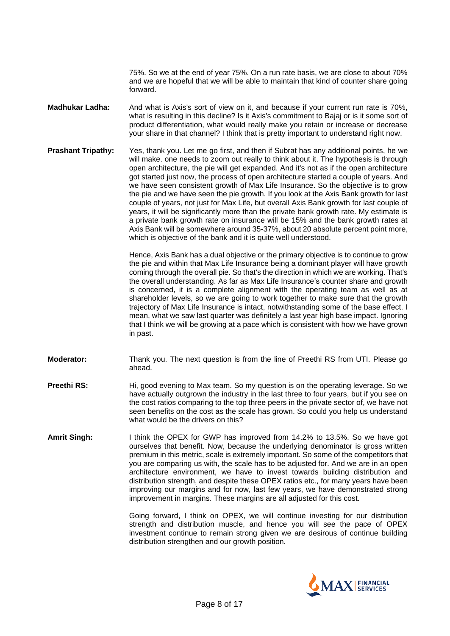75%. So we at the end of year 75%. On a run rate basis, we are close to about 70% and we are hopeful that we will be able to maintain that kind of counter share going forward.

- **Madhukar Ladha:** And what is Axis's sort of view on it, and because if your current run rate is 70%, what is resulting in this decline? Is it Axis's commitment to Bajaj or is it some sort of product differentiation, what would really make you retain or increase or decrease your share in that channel? I think that is pretty important to understand right now.
- **Prashant Tripathy:** Yes, thank you. Let me go first, and then if Subrat has any additional points, he we will make. one needs to zoom out really to think about it. The hypothesis is through open architecture, the pie will get expanded. And it's not as if the open architecture got started just now, the process of open architecture started a couple of years. And we have seen consistent growth of Max Life Insurance. So the objective is to grow the pie and we have seen the pie growth. If you look at the Axis Bank growth for last couple of years, not just for Max Life, but overall Axis Bank growth for last couple of years, it will be significantly more than the private bank growth rate. My estimate is a private bank growth rate on insurance will be 15% and the bank growth rates at Axis Bank will be somewhere around 35-37%, about 20 absolute percent point more, which is objective of the bank and it is quite well understood.

Hence, Axis Bank has a dual objective or the primary objective is to continue to grow the pie and within that Max Life Insurance being a dominant player will have growth coming through the overall pie. So that's the direction in which we are working. That's the overall understanding. As far as Max Life Insurance's counter share and growth is concerned, it is a complete alignment with the operating team as well as at shareholder levels, so we are going to work together to make sure that the growth trajectory of Max Life Insurance is intact, notwithstanding some of the base effect. I mean, what we saw last quarter was definitely a last year high base impact. Ignoring that I think we will be growing at a pace which is consistent with how we have grown in past.

- **Moderator:** Thank you. The next question is from the line of Preethi RS from UTI. Please go ahead.
- **Preethi RS:** Hi, good evening to Max team. So my question is on the operating leverage. So we have actually outgrown the industry in the last three to four years, but if you see on the cost ratios comparing to the top three peers in the private sector of, we have not seen benefits on the cost as the scale has grown. So could you help us understand what would be the drivers on this?
- **Amrit Singh:** I think the OPEX for GWP has improved from 14.2% to 13.5%. So we have got ourselves that benefit. Now, because the underlying denominator is gross written premium in this metric, scale is extremely important. So some of the competitors that you are comparing us with, the scale has to be adjusted for. And we are in an open architecture environment, we have to invest towards building distribution and distribution strength, and despite these OPEX ratios etc., for many years have been improving our margins and for now, last few years, we have demonstrated strong improvement in margins. These margins are all adjusted for this cost.

Going forward, I think on OPEX, we will continue investing for our distribution strength and distribution muscle, and hence you will see the pace of OPEX investment continue to remain strong given we are desirous of continue building distribution strengthen and our growth position.

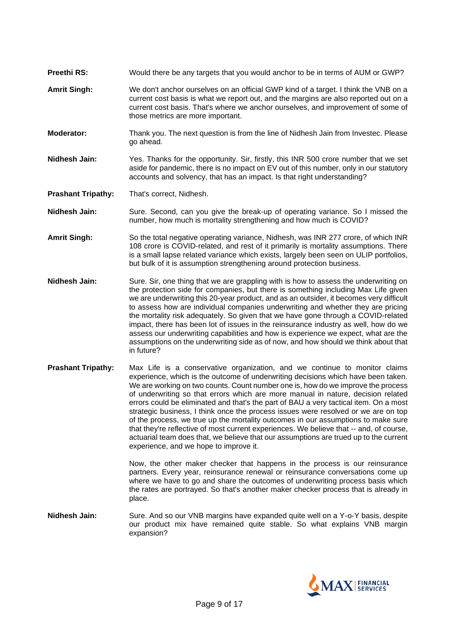- **Preethi RS:** Would there be any targets that you would anchor to be in terms of AUM or GWP?
- **Amrit Singh:** We don't anchor ourselves on an official GWP kind of a target. I think the VNB on a current cost basis is what we report out, and the margins are also reported out on a current cost basis. That's where we anchor ourselves, and improvement of some of those metrics are more important.
- **Moderator:** Thank you. The next question is from the line of Nidhesh Jain from Investec. Please go ahead.
- **Nidhesh Jain:** Yes. Thanks for the opportunity. Sir, firstly, this INR 500 crore number that we set aside for pandemic, there is no impact on EV out of this number, only in our statutory accounts and solvency, that has an impact. Is that right understanding?

**Prashant Tripathy:** That's correct, Nidhesh.

**Nidhesh Jain:** Sure. Second, can you give the break-up of operating variance. So I missed the number, how much is mortality strengthening and how much is COVID?

**Amrit Singh:** So the total negative operating variance, Nidhesh, was INR 277 crore, of which INR 108 crore is COVID-related, and rest of it primarily is mortality assumptions. There is a small lapse related variance which exists, largely been seen on ULIP portfolios, but bulk of it is assumption strengthening around protection business.

- **Nidhesh Jain:** Sure. Sir, one thing that we are grappling with is how to assess the underwriting on the protection side for companies, but there is something including Max Life given we are underwriting this 20-year product, and as an outsider, it becomes very difficult to assess how are individual companies underwriting and whether they are pricing the mortality risk adequately. So given that we have gone through a COVID-related impact, there has been lot of issues in the reinsurance industry as well, how do we assess our underwriting capabilities and how is experience we expect, what are the assumptions on the underwriting side as of now, and how should we think about that in future?
- **Prashant Tripathy:** Max Life is a conservative organization, and we continue to monitor claims experience, which is the outcome of underwriting decisions which have been taken. We are working on two counts. Count number one is, how do we improve the process of underwriting so that errors which are more manual in nature, decision related errors could be eliminated and that's the part of BAU a very tactical item. On a most strategic business, I think once the process issues were resolved or we are on top of the process, we true up the mortality outcomes in our assumptions to make sure that they're reflective of most current experiences. We believe that -- and, of course, actuarial team does that, we believe that our assumptions are trued up to the current experience, and we hope to improve it.

Now, the other maker checker that happens in the process is our reinsurance partners. Every year, reinsurance renewal or reinsurance conversations come up where we have to go and share the outcomes of underwriting process basis which the rates are portrayed. So that's another maker checker process that is already in place.

**Nidhesh Jain:** Sure. And so our VNB margins have expanded quite well on a Y-o-Y basis, despite our product mix have remained quite stable. So what explains VNB margin expansion?

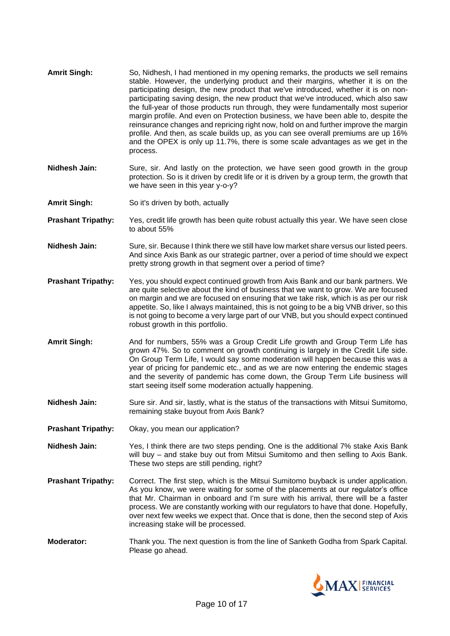| <b>Amrit Singh:</b>       | So, Nidhesh, I had mentioned in my opening remarks, the products we sell remains<br>stable. However, the underlying product and their margins, whether it is on the<br>participating design, the new product that we've introduced, whether it is on non-<br>participating saving design, the new product that we've introduced, which also saw<br>the full-year of those products run through, they were fundamentally most superior<br>margin profile. And even on Protection business, we have been able to, despite the<br>reinsurance changes and repricing right now, hold on and further improve the margin<br>profile. And then, as scale builds up, as you can see overall premiums are up 16%<br>and the OPEX is only up 11.7%, there is some scale advantages as we get in the<br>process. |
|---------------------------|-------------------------------------------------------------------------------------------------------------------------------------------------------------------------------------------------------------------------------------------------------------------------------------------------------------------------------------------------------------------------------------------------------------------------------------------------------------------------------------------------------------------------------------------------------------------------------------------------------------------------------------------------------------------------------------------------------------------------------------------------------------------------------------------------------|
| Nidhesh Jain:             | Sure, sir. And lastly on the protection, we have seen good growth in the group<br>protection. So is it driven by credit life or it is driven by a group term, the growth that<br>we have seen in this year y-o-y?                                                                                                                                                                                                                                                                                                                                                                                                                                                                                                                                                                                     |
| <b>Amrit Singh:</b>       | So it's driven by both, actually                                                                                                                                                                                                                                                                                                                                                                                                                                                                                                                                                                                                                                                                                                                                                                      |
| <b>Prashant Tripathy:</b> | Yes, credit life growth has been quite robust actually this year. We have seen close<br>to about 55%                                                                                                                                                                                                                                                                                                                                                                                                                                                                                                                                                                                                                                                                                                  |
| Nidhesh Jain:             | Sure, sir. Because I think there we still have low market share versus our listed peers.<br>And since Axis Bank as our strategic partner, over a period of time should we expect<br>pretty strong growth in that segment over a period of time?                                                                                                                                                                                                                                                                                                                                                                                                                                                                                                                                                       |
| <b>Prashant Tripathy:</b> | Yes, you should expect continued growth from Axis Bank and our bank partners. We<br>are quite selective about the kind of business that we want to grow. We are focused<br>on margin and we are focused on ensuring that we take risk, which is as per our risk<br>appetite. So, like I always maintained, this is not going to be a big VNB driver, so this<br>is not going to become a very large part of our VNB, but you should expect continued<br>robust growth in this portfolio.                                                                                                                                                                                                                                                                                                              |
| <b>Amrit Singh:</b>       | And for numbers, 55% was a Group Credit Life growth and Group Term Life has<br>grown 47%. So to comment on growth continuing is largely in the Credit Life side.<br>On Group Term Life, I would say some moderation will happen because this was a<br>year of pricing for pandemic etc., and as we are now entering the endemic stages<br>and the severity of pandemic has come down, the Group Term Life business will<br>start seeing itself some moderation actually happening.                                                                                                                                                                                                                                                                                                                    |
| Nidhesh Jain:             | Sure sir. And sir, lastly, what is the status of the transactions with Mitsui Sumitomo,<br>remaining stake buyout from Axis Bank?                                                                                                                                                                                                                                                                                                                                                                                                                                                                                                                                                                                                                                                                     |
| <b>Prashant Tripathy:</b> | Okay, you mean our application?                                                                                                                                                                                                                                                                                                                                                                                                                                                                                                                                                                                                                                                                                                                                                                       |
| Nidhesh Jain:             | Yes, I think there are two steps pending. One is the additional 7% stake Axis Bank<br>will buy – and stake buy out from Mitsui Sumitomo and then selling to Axis Bank.<br>These two steps are still pending, right?                                                                                                                                                                                                                                                                                                                                                                                                                                                                                                                                                                                   |
| <b>Prashant Tripathy:</b> | Correct. The first step, which is the Mitsui Sumitomo buyback is under application.<br>As you know, we were waiting for some of the placements at our regulator's office<br>that Mr. Chairman in onboard and I'm sure with his arrival, there will be a faster<br>process. We are constantly working with our regulators to have that done. Hopefully,<br>over next few weeks we expect that. Once that is done, then the second step of Axis<br>increasing stake will be processed.                                                                                                                                                                                                                                                                                                                  |
| Moderator:                | Thank you. The next question is from the line of Sanketh Godha from Spark Capital.<br>Please go ahead.                                                                                                                                                                                                                                                                                                                                                                                                                                                                                                                                                                                                                                                                                                |

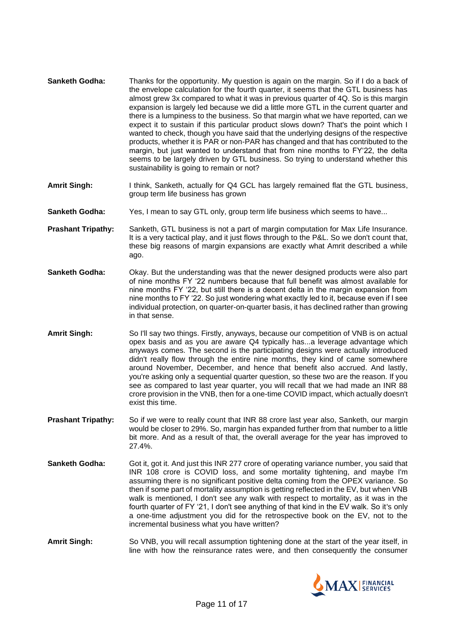- **Sanketh Godha:** Thanks for the opportunity. My question is again on the margin. So if I do a back of the envelope calculation for the fourth quarter, it seems that the GTL business has almost grew 3x compared to what it was in previous quarter of 4Q. So is this margin expansion is largely led because we did a little more GTL in the current quarter and there is a lumpiness to the business. So that margin what we have reported, can we expect it to sustain if this particular product slows down? That's the point which I wanted to check, though you have said that the underlying designs of the respective products, whether it is PAR or non-PAR has changed and that has contributed to the margin, but just wanted to understand that from nine months to FY'22, the delta seems to be largely driven by GTL business. So trying to understand whether this sustainability is going to remain or not?
- **Amrit Singh:** I think, Sanketh, actually for Q4 GCL has largely remained flat the GTL business, group term life business has grown
- **Sanketh Godha:** Yes, I mean to say GTL only, group term life business which seems to have...
- **Prashant Tripathy:** Sanketh, GTL business is not a part of margin computation for Max Life Insurance. It is a very tactical play, and it just flows through to the P&L. So we don't count that, these big reasons of margin expansions are exactly what Amrit described a while ago.
- **Sanketh Godha:** Okay. But the understanding was that the newer designed products were also part of nine months FY '22 numbers because that full benefit was almost available for nine months FY '22, but still there is a decent delta in the margin expansion from nine months to FY '22. So just wondering what exactly led to it, because even if I see individual protection, on quarter-on-quarter basis, it has declined rather than growing in that sense.
- **Amrit Singh:** So I'll say two things. Firstly, anyways, because our competition of VNB is on actual opex basis and as you are aware Q4 typically has...a leverage advantage which anyways comes. The second is the participating designs were actually introduced didn't really flow through the entire nine months, they kind of came somewhere around November, December, and hence that benefit also accrued. And lastly, you're asking only a sequential quarter question, so these two are the reason. If you see as compared to last year quarter, you will recall that we had made an INR 88 crore provision in the VNB, then for a one-time COVID impact, which actually doesn't exist this time.
- **Prashant Tripathy:** So if we were to really count that INR 88 crore last year also, Sanketh, our margin would be closer to 29%. So, margin has expanded further from that number to a little bit more. And as a result of that, the overall average for the year has improved to 27.4%.
- **Sanketh Godha:** Got it, got it. And just this INR 277 crore of operating variance number, you said that INR 108 crore is COVID loss, and some mortality tightening, and maybe I'm assuming there is no significant positive delta coming from the OPEX variance. So then if some part of mortality assumption is getting reflected in the EV, but when VNB walk is mentioned, I don't see any walk with respect to mortality, as it was in the fourth quarter of FY '21, I don't see anything of that kind in the EV walk. So it's only a one-time adjustment you did for the retrospective book on the EV, not to the incremental business what you have written?
- **Amrit Singh:** So VNB, you will recall assumption tightening done at the start of the year itself, in line with how the reinsurance rates were, and then consequently the consumer

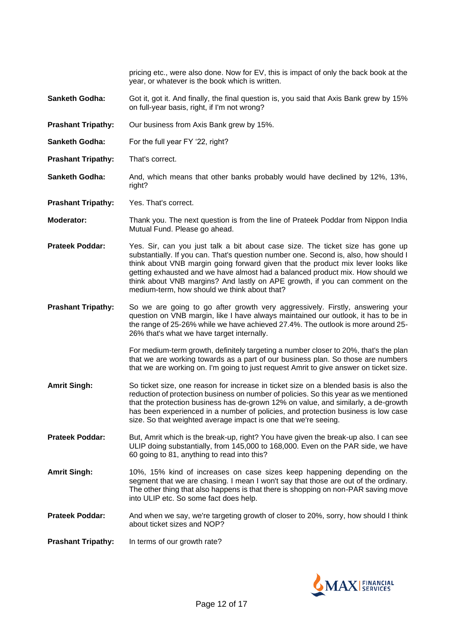pricing etc., were also done. Now for EV, this is impact of only the back book at the year, or whatever is the book which is written.

- **Sanketh Godha:** Got it, got it. And finally, the final question is, you said that Axis Bank grew by 15% on full-year basis, right, if I'm not wrong?
- **Prashant Tripathy:** Our business from Axis Bank grew by 15%.
- **Sanketh Godha:** For the full year FY '22, right?
- **Prashant Tripathy:** That's correct.
- **Sanketh Godha:** And, which means that other banks probably would have declined by 12%, 13%, right?

**Prashant Tripathy:** Yes. That's correct.

- **Moderator:** Thank you. The next question is from the line of Prateek Poddar from Nippon India Mutual Fund. Please go ahead.
- **Prateek Poddar:** Yes. Sir, can you just talk a bit about case size. The ticket size has gone up substantially. If you can. That's question number one. Second is, also, how should I think about VNB margin going forward given that the product mix lever looks like getting exhausted and we have almost had a balanced product mix. How should we think about VNB margins? And lastly on APE growth, if you can comment on the medium-term, how should we think about that?
- **Prashant Tripathy:** So we are going to go after growth very aggressively. Firstly, answering your question on VNB margin, like I have always maintained our outlook, it has to be in the range of 25-26% while we have achieved 27.4%. The outlook is more around 25- 26% that's what we have target internally.

For medium-term growth, definitely targeting a number closer to 20%, that's the plan that we are working towards as a part of our business plan. So those are numbers that we are working on. I'm going to just request Amrit to give answer on ticket size.

- **Amrit Singh:** So ticket size, one reason for increase in ticket size on a blended basis is also the reduction of protection business on number of policies. So this year as we mentioned that the protection business has de-grown 12% on value, and similarly, a de-growth has been experienced in a number of policies, and protection business is low case size. So that weighted average impact is one that we're seeing.
- **Prateek Poddar:** But, Amrit which is the break-up, right? You have given the break-up also. I can see ULIP doing substantially, from 145,000 to 168,000. Even on the PAR side, we have 60 going to 81, anything to read into this?
- **Amrit Singh:** 10%, 15% kind of increases on case sizes keep happening depending on the segment that we are chasing. I mean I won't say that those are out of the ordinary. The other thing that also happens is that there is shopping on non-PAR saving move into ULIP etc. So some fact does help.
- **Prateek Poddar:** And when we say, we're targeting growth of closer to 20%, sorry, how should I think about ticket sizes and NOP?

**Prashant Tripathy:** In terms of our growth rate?

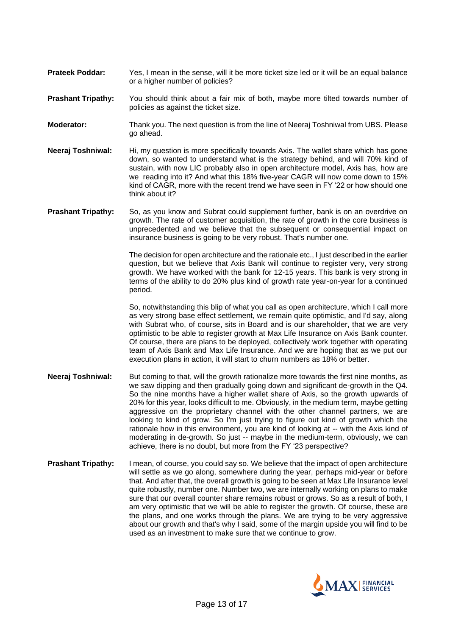- **Prateek Poddar:** Yes, I mean in the sense, will it be more ticket size led or it will be an equal balance or a higher number of policies?
- **Prashant Tripathy:** You should think about a fair mix of both, maybe more tilted towards number of policies as against the ticket size.
- **Moderator:** Thank you. The next question is from the line of Neeraj Toshniwal from UBS. Please go ahead.
- **Neeraj Toshniwal:** Hi, my question is more specifically towards Axis. The wallet share which has gone down, so wanted to understand what is the strategy behind, and will 70% kind of sustain, with now LIC probably also in open architecture model, Axis has, how are we reading into it? And what this 18% five-year CAGR will now come down to 15% kind of CAGR, more with the recent trend we have seen in FY '22 or how should one think about it?
- **Prashant Tripathy:** So, as you know and Subrat could supplement further, bank is on an overdrive on growth. The rate of customer acquisition, the rate of growth in the core business is unprecedented and we believe that the subsequent or consequential impact on insurance business is going to be very robust. That's number one.

The decision for open architecture and the rationale etc., I just described in the earlier question, but we believe that Axis Bank will continue to register very, very strong growth. We have worked with the bank for 12-15 years. This bank is very strong in terms of the ability to do 20% plus kind of growth rate year-on-year for a continued period.

So, notwithstanding this blip of what you call as open architecture, which I call more as very strong base effect settlement, we remain quite optimistic, and I'd say, along with Subrat who, of course, sits in Board and is our shareholder, that we are very optimistic to be able to register growth at Max Life Insurance on Axis Bank counter. Of course, there are plans to be deployed, collectively work together with operating team of Axis Bank and Max Life Insurance. And we are hoping that as we put our execution plans in action, it will start to churn numbers as 18% or better.

- **Neeraj Toshniwal:** But coming to that, will the growth rationalize more towards the first nine months, as we saw dipping and then gradually going down and significant de-growth in the Q4. So the nine months have a higher wallet share of Axis, so the growth upwards of 20% for this year, looks difficult to me. Obviously, in the medium term, maybe getting aggressive on the proprietary channel with the other channel partners, we are looking to kind of grow. So I'm just trying to figure out kind of growth which the rationale how in this environment, you are kind of looking at -- with the Axis kind of moderating in de-growth. So just -- maybe in the medium-term, obviously, we can achieve, there is no doubt, but more from the FY '23 perspective?
- **Prashant Tripathy:** I mean, of course, you could say so. We believe that the impact of open architecture will settle as we go along, somewhere during the year, perhaps mid-year or before that. And after that, the overall growth is going to be seen at Max Life Insurance level quite robustly, number one. Number two, we are internally working on plans to make sure that our overall counter share remains robust or grows. So as a result of both, I am very optimistic that we will be able to register the growth. Of course, these are the plans, and one works through the plans. We are trying to be very aggressive about our growth and that's why I said, some of the margin upside you will find to be used as an investment to make sure that we continue to grow.

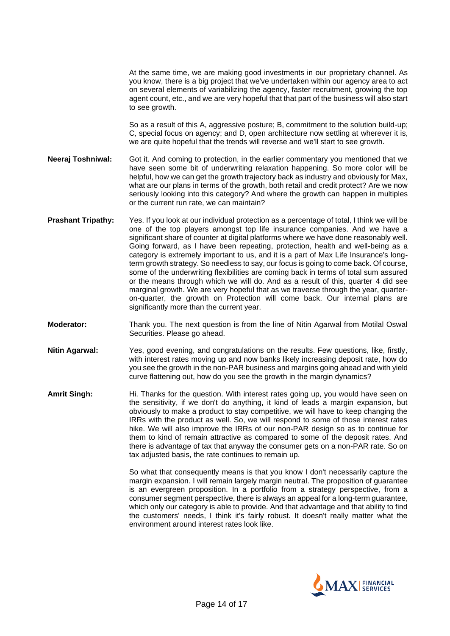At the same time, we are making good investments in our proprietary channel. As you know, there is a big project that we've undertaken within our agency area to act on several elements of variabilizing the agency, faster recruitment, growing the top agent count, etc., and we are very hopeful that that part of the business will also start to see growth.

So as a result of this A, aggressive posture; B, commitment to the solution build-up; C, special focus on agency; and D, open architecture now settling at wherever it is, we are quite hopeful that the trends will reverse and we'll start to see growth.

**Neeraj Toshniwal:** Got it. And coming to protection, in the earlier commentary you mentioned that we have seen some bit of underwriting relaxation happening. So more color will be helpful, how we can get the growth trajectory back as industry and obviously for Max, what are our plans in terms of the growth, both retail and credit protect? Are we now seriously looking into this category? And where the growth can happen in multiples or the current run rate, we can maintain?

- **Prashant Tripathy:** Yes. If you look at our individual protection as a percentage of total. I think we will be one of the top players amongst top life insurance companies. And we have a significant share of counter at digital platforms where we have done reasonably well. Going forward, as I have been repeating, protection, health and well-being as a category is extremely important to us, and it is a part of Max Life Insurance's longterm growth strategy. So needless to say, our focus is going to come back. Of course, some of the underwriting flexibilities are coming back in terms of total sum assured or the means through which we will do. And as a result of this, quarter 4 did see marginal growth. We are very hopeful that as we traverse through the year, quarteron-quarter, the growth on Protection will come back. Our internal plans are significantly more than the current year.
- **Moderator:** Thank you. The next question is from the line of Nitin Agarwal from Motilal Oswal Securities. Please go ahead.
- **Nitin Agarwal:** Yes, good evening, and congratulations on the results. Few questions, like, firstly, with interest rates moving up and now banks likely increasing deposit rate, how do you see the growth in the non-PAR business and margins going ahead and with yield curve flattening out, how do you see the growth in the margin dynamics?
- **Amrit Singh:** Hi. Thanks for the question. With interest rates going up, you would have seen on the sensitivity, if we don't do anything, it kind of leads a margin expansion, but obviously to make a product to stay competitive, we will have to keep changing the IRRs with the product as well. So, we will respond to some of those interest rates hike. We will also improve the IRRs of our non-PAR design so as to continue for them to kind of remain attractive as compared to some of the deposit rates. And there is advantage of tax that anyway the consumer gets on a non-PAR rate. So on tax adjusted basis, the rate continues to remain up.

So what that consequently means is that you know I don't necessarily capture the margin expansion. I will remain largely margin neutral. The proposition of guarantee is an evergreen proposition. In a portfolio from a strategy perspective, from a consumer segment perspective, there is always an appeal for a long-term guarantee, which only our category is able to provide. And that advantage and that ability to find the customers' needs, I think it's fairly robust. It doesn't really matter what the environment around interest rates look like.

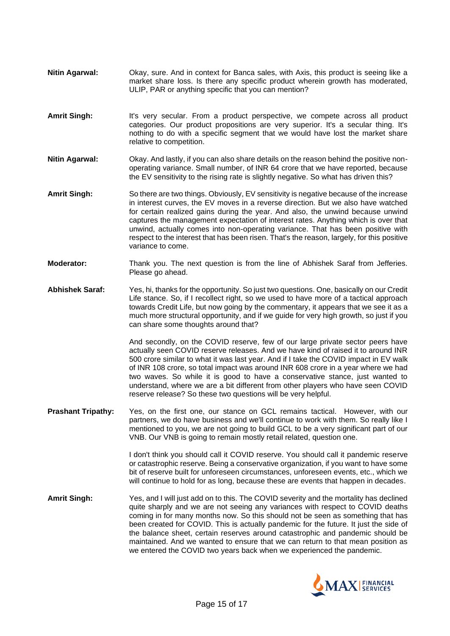- **Nitin Agarwal:** Okay, sure. And in context for Banca sales, with Axis, this product is seeing like a market share loss. Is there any specific product wherein growth has moderated, ULIP, PAR or anything specific that you can mention?
- **Amrit Singh:** It's very secular. From a product perspective, we compete across all product categories. Our product propositions are very superior. It's a secular thing. It's nothing to do with a specific segment that we would have lost the market share relative to competition.
- **Nitin Agarwal:** Okay. And lastly, if you can also share details on the reason behind the positive nonoperating variance. Small number, of INR 64 crore that we have reported, because the EV sensitivity to the rising rate is slightly negative. So what has driven this?
- **Amrit Singh:** So there are two things. Obviously, EV sensitivity is negative because of the increase in interest curves, the EV moves in a reverse direction. But we also have watched for certain realized gains during the year. And also, the unwind because unwind captures the management expectation of interest rates. Anything which is over that unwind, actually comes into non-operating variance. That has been positive with respect to the interest that has been risen. That's the reason, largely, for this positive variance to come.
- **Moderator:** Thank you. The next question is from the line of Abhishek Saraf from Jefferies. Please go ahead.
- **Abhishek Saraf:** Yes, hi, thanks for the opportunity. So just two questions. One, basically on our Credit Life stance. So, if I recollect right, so we used to have more of a tactical approach towards Credit Life, but now going by the commentary, it appears that we see it as a much more structural opportunity, and if we guide for very high growth, so just if you can share some thoughts around that?

And secondly, on the COVID reserve, few of our large private sector peers have actually seen COVID reserve releases. And we have kind of raised it to around INR 500 crore similar to what it was last year. And if I take the COVID impact in EV walk of INR 108 crore, so total impact was around INR 608 crore in a year where we had two waves. So while it is good to have a conservative stance, just wanted to understand, where we are a bit different from other players who have seen COVID reserve release? So these two questions will be very helpful.

**Prashant Tripathy:** Yes, on the first one, our stance on GCL remains tactical. However, with our partners, we do have business and we'll continue to work with them. So really like I mentioned to you, we are not going to build GCL to be a very significant part of our VNB. Our VNB is going to remain mostly retail related, question one.

> I don't think you should call it COVID reserve. You should call it pandemic reserve or catastrophic reserve. Being a conservative organization, if you want to have some bit of reserve built for unforeseen circumstances, unforeseen events, etc., which we will continue to hold for as long, because these are events that happen in decades.

**Amrit Singh:** Yes, and I will just add on to this. The COVID severity and the mortality has declined quite sharply and we are not seeing any variances with respect to COVID deaths coming in for many months now. So this should not be seen as something that has been created for COVID. This is actually pandemic for the future. It just the side of the balance sheet, certain reserves around catastrophic and pandemic should be maintained. And we wanted to ensure that we can return to that mean position as we entered the COVID two years back when we experienced the pandemic.

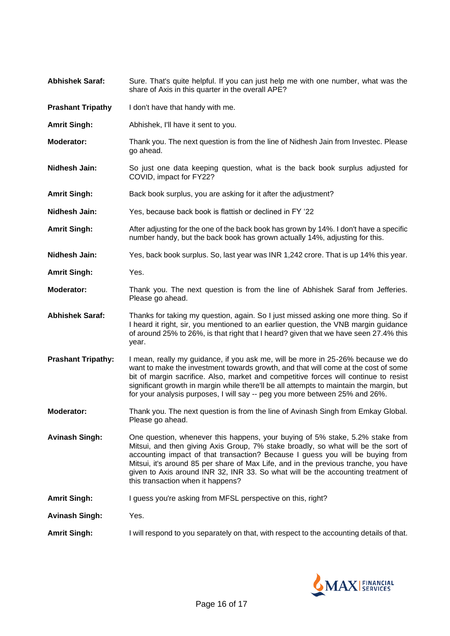- Abhishek Saraf: Sure. That's quite helpful. If you can just help me with one number, what was the share of Axis in this quarter in the overall APE?
- **Prashant Tripathy** I don't have that handy with me.
- **Amrit Singh:** Abhishek, I'll have it sent to you.
- **Moderator:** Thank you. The next question is from the line of Nidhesh Jain from Investec. Please go ahead.
- **Nidhesh Jain:** So just one data keeping question, what is the back book surplus adjusted for COVID, impact for FY22?
- **Amrit Singh:** Back book surplus, you are asking for it after the adjustment?
- **Nidhesh Jain:** Yes, because back book is flattish or declined in FY '22
- **Amrit Singh:** After adjusting for the one of the back book has grown by 14%. I don't have a specific number handy, but the back book has grown actually 14%, adjusting for this.
- **Nidhesh Jain:** Yes, back book surplus. So, last year was INR 1,242 crore. That is up 14% this year.
- **Amrit Singh:** Yes.
- **Moderator:** Thank you. The next question is from the line of Abhishek Saraf from Jefferies. Please go ahead.
- **Abhishek Saraf:** Thanks for taking my question, again. So I just missed asking one more thing. So if I heard it right, sir, you mentioned to an earlier question, the VNB margin guidance of around 25% to 26%, is that right that I heard? given that we have seen 27.4% this year.
- **Prashant Tripathy:** I mean, really my guidance, if you ask me, will be more in 25-26% because we do want to make the investment towards growth, and that will come at the cost of some bit of margin sacrifice. Also, market and competitive forces will continue to resist significant growth in margin while there'll be all attempts to maintain the margin, but for your analysis purposes, I will say -- peg you more between 25% and 26%.
- **Moderator:** Thank you. The next question is from the line of Avinash Singh from Emkay Global. Please go ahead.
- **Avinash Singh:** One question, whenever this happens, your buying of 5% stake, 5.2% stake from Mitsui, and then giving Axis Group, 7% stake broadly, so what will be the sort of accounting impact of that transaction? Because I guess you will be buying from Mitsui, it's around 85 per share of Max Life, and in the previous tranche, you have given to Axis around INR 32, INR 33. So what will be the accounting treatment of this transaction when it happens?
- **Amrit Singh:** I guess you're asking from MFSL perspective on this, right?

**Avinash Singh:** Yes.

**Amrit Singh:** I will respond to you separately on that, with respect to the accounting details of that.